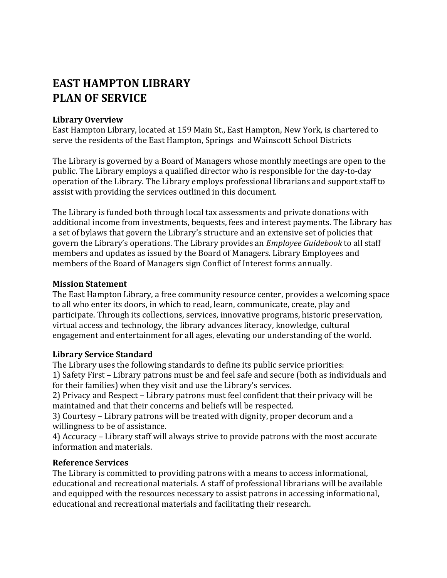# **EAST HAMPTON LIBRARY PLAN OF SERVICE**

#### **Library Overview**

East Hampton Library, located at 159 Main St., East Hampton, New York, is chartered to serve the residents of the East Hampton, Springs and Wainscott School Districts

The Library is governed by a Board of Managers whose monthly meetings are open to the public. The Library employs a qualified director who is responsible for the day-to-day operation of the Library. The Library employs professional librarians and support staff to assist with providing the services outlined in this document.

The Library is funded both through local tax assessments and private donations with additional income from investments, bequests, fees and interest payments. The Library has a set of bylaws that govern the Library's structure and an extensive set of policies that govern the Library's operations. The Library provides an *Employee Guidebook* to all staff members and updates as issued by the Board of Managers. Library Employees and members of the Board of Managers sign Conflict of Interest forms annually.

#### **Mission Statement**

The East Hampton Library, a free community resource center, provides a welcoming space to all who enter its doors, in which to read, learn, communicate, create, play and participate. Through its collections, services, innovative programs, historic preservation, virtual access and technology, the library advances literacy, knowledge, cultural engagement and entertainment for all ages, elevating our understanding of the world.

# **Library Service Standard**

The Library uses the following standards to define its public service priorities:

1) Safety First – Library patrons must be and feel safe and secure (both as individuals and for their families) when they visit and use the Library's services.

2) Privacy and Respect – Library patrons must feel confident that their privacy will be maintained and that their concerns and beliefs will be respected.

3) Courtesy – Library patrons will be treated with dignity, proper decorum and a willingness to be of assistance.

4) Accuracy – Library staff will always strive to provide patrons with the most accurate information and materials.

# **Reference Services**

The Library is committed to providing patrons with a means to access informational, educational and recreational materials. A staff of professional librarians will be available and equipped with the resources necessary to assist patrons in accessing informational, educational and recreational materials and facilitating their research.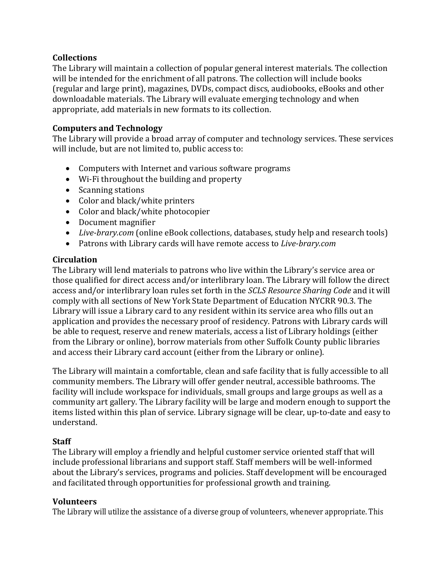## **Collections**

The Library will maintain a collection of popular general interest materials. The collection will be intended for the enrichment of all patrons. The collection will include books (regular and large print), magazines, DVDs, compact discs, audiobooks, eBooks and other downloadable materials. The Library will evaluate emerging technology and when appropriate, add materials in new formats to its collection.

## **Computers and Technology**

The Library will provide a broad array of computer and technology services. These services will include, but are not limited to, public access to:

- Computers with Internet and various software programs
- Wi-Fi throughout the building and property
- Scanning stations
- Color and black/white printers
- Color and black/white photocopier
- Document magnifier
- *Live-brary.com* (online eBook collections, databases, study help and research tools)
- Patrons with Library cards will have remote access to *Live-brary.com*

## **Circulation**

The Library will lend materials to patrons who live within the Library's service area or those qualified for direct access and/or interlibrary loan. The Library will follow the direct access and/or interlibrary loan rules set forth in the *SCLS Resource Sharing Code* and it will comply with all sections of New York State Department of Education NYCRR 90.3. The Library will issue a Library card to any resident within its service area who fills out an application and provides the necessary proof of residency. Patrons with Library cards will be able to request, reserve and renew materials, access a list of Library holdings (either from the Library or online), borrow materials from other Suffolk County public libraries and access their Library card account (either from the Library or online).

The Library will maintain a comfortable, clean and safe facility that is fully accessible to all community members. The Library will offer gender neutral, accessible bathrooms. The facility will include workspace for individuals, small groups and large groups as well as a community art gallery. The Library facility will be large and modern enough to support the items listed within this plan of service. Library signage will be clear, up-to-date and easy to understand.

#### **Staff**

The Library will employ a friendly and helpful customer service oriented staff that will include professional librarians and support staff. Staff members will be well-informed about the Library's services, programs and policies. Staff development will be encouraged and facilitated through opportunities for professional growth and training.

#### **Volunteers**

The Library will utilize the assistance of a diverse group of volunteers, whenever appropriate. This